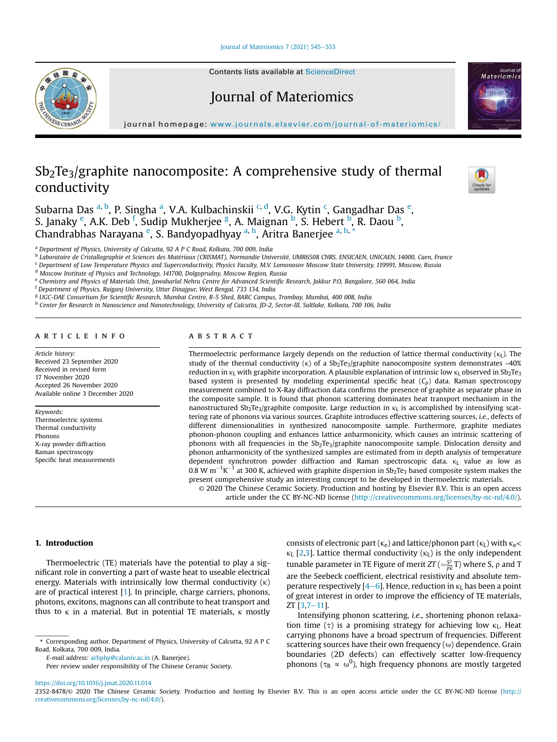Journal of Materiomics 7 (2021) 545-555



Contents lists available at ScienceDirect

# Journal of Materiomics



journal homepage: www.journals.elsevier.com/journal-of-materiomics/

# $Sb<sub>2</sub>Te<sub>3</sub>/graphite nanocomposite: A comprehensive study of thermal$ conductivity



Subarna Das <sup>a, b</sup>, P. Singha <sup>a</sup>, V.A. Kulbachinskii <sup>c, d</sup>, V.G. Kytin <sup>c</sup>, Gangadhar Das <sup>e</sup>, S. Janaky <sup>e</sup>, A.K. Deb <sup>f</sup>, Sudip Mukherjee <sup>g</sup>, A. Maignan <sup>b</sup>, S. Hebert <sup>b</sup>, R. Daou <sup>b</sup>, Chandrabhas Narayana <sup>e</sup>, S. Bandyopadhyay <sup>a, h</sup>, Aritra Banerjee <sup>a, h, \*</sup>

<sup>a</sup> *Department of Physics, University of Calcutta, 92 A P C Road, Kolkata, 700 009, India*

b *Laboratoire de Cristallographie et Sciences des Materiaux (CRISMAT), Normandie Universite, UMR6508 CNRS, ENSICAEN, UNICAEN, 14000, Caen, France*

<sup>c</sup> *Department of Low Temperature Physics and Superconductivity, Physics Faculty, M.V. Lomonosov Moscow State University, 119991, Moscow, Russia*

<sup>d</sup> *Moscow Institute of Physics and Technology, 141700, Dolgoprudny, Moscow Region, Russia*

e *Chemistry and Physics of Materials Unit, Jawaharlal Nehru Centre for Advanced Scienti*fi*c Research, Jakkur P.O, Bangalore, 560 064, India*

<sup>f</sup> *Department of Physics, Raiganj University, Uttar Dinajpur, West Bengal, 733 134, India*

<sup>g</sup> *UGC-DAE Consortium for Scienti*fi*c Research, Mumbai Centre, R-5 Shed, BARC Campus, Trombay, Mumbai, 400 008, India*

h *Center for Research in Nanoscience and Nanotechnology, University of Calcutta, JD-2, Sector-III, Saltlake, Kolkata, 700 106, India*

### article info

*Article history:* Received 23 September 2020 Received in revised form 17 November 2020 Accepted 26 November 2020 Available online 3 December 2020

*Keywords:* Thermoelectric systems Thermal conductivity Phonons X-ray powder diffraction Raman spectroscopy Specific heat measurements

# ABSTRACT

Thermoelectric performance largely depends on the reduction of lattice thermal conductivity ( $kL$ ). The study of the thermal conductivity ( $\kappa$ ) of a Sb<sub>2</sub>Te<sub>3</sub>/graphite nanocomposite system demonstrates ~40% reduction in  $\kappa_L$  with graphite incorporation. A plausible explanation of intrinsic low  $\kappa_L$  observed in Sb<sub>2</sub>Te<sub>3</sub> based system is presented by modeling experimental specific heat (*Cp*) data. Raman spectroscopy measurement combined to X-Ray diffraction data confirms the presence of graphite as separate phase in the composite sample. It is found that phonon scattering dominates heat transport mechanism in the nanostructured Sb<sub>2</sub>Te<sub>3</sub>/graphite composite. Large reduction in  $\kappa_L$  is accomplished by intensifying scattering rate of phonons via various sources. Graphite introduces effective scattering sources, *i.e.*, defects of different dimensionalities in synthesized nanocomposite sample. Furthermore, graphite mediates phonon-phonon coupling and enhances lattice anharmonicity, which causes an intrinsic scattering of phonons with all frequencies in the Sb<sub>2</sub>Te<sub>3</sub>/graphite nanocomposite sample. Dislocation density and phonon anharmonicity of the synthesized samples are estimated from in depth analysis of temperature dependent synchrotron powder diffraction and Raman spectroscopic data.  $k_L$  value as low as 0.8 W m<sup>-1</sup>K<sup>-1</sup> at 300 K, achieved with graphite dispersion in Sb<sub>2</sub>Te<sub>3</sub> based composite system makes the present comprehensive study an interesting concept to be developed in thermoelectric materials.

© 2020 The Chinese Ceramic Society. Production and hosting by Elsevier B.V. This is an open access article under the CC BY-NC-ND license (http://creativecommons.org/licenses/by-nc-nd/4.0/).

# 1. Introduction

Thermoelectric (TE) materials have the potential to play a significant role in converting a part of waste heat to useable electrical energy. Materials with intrinsically low thermal conductivity  $(\kappa)$ are of practical interest [1]. In principle, charge carriers, phonons, photons, excitons, magnons can all contribute to heat transport and thus to  $\kappa$  in a material. But in potential TE materials,  $\kappa$  mostly

*E-mail address:* arbphy@caluniv.ac.in (A. Banerjee).

Peer review under responsibility of The Chinese Ceramic Society.

consists of electronic part ( $\kappa_e$ ) and lattice/phonon part ( $\kappa_L$ ) with  $\kappa_e$ <  $\kappa_L$  [2,3]. Lattice thermal conductivity ( $\kappa_L$ ) is the only independent tunable parameter in TE Figure of merit  $ZT$  ( $=\frac{S^2}{\rho\kappa}T$ ) where S,  $\rho$  and T are the Seebeck coefficient, electrical resistivity and absolute temperature respectively  $[4-6]$ . Hence, reduction in  $\kappa_L$  has been a point of great interest in order to improve the efficiency of TE materials,  $ZT$  [3,7-11].

Intensifying phonon scattering, *i.e.*, shortening phonon relaxation time  $(\tau)$  is a promising strategy for achieving low  $\kappa$ <sub>L</sub>. Heat carrying phonons have a broad spectrum of frequencies. Different scattering sources have their own frequency  $(\omega)$  dependence. Grain boundaries (2D defects) can effectively scatter low-frequency phonons ( $\tau_B \propto \omega^0$ ), high frequency phonons are mostly targeted

https://doi.org/10.1016/j.jmat.2020.11.014

<sup>\*</sup> Corresponding author. Department of Physics, University of Calcutta, 92 A P C Road, Kolkata, 700 009, India.

<sup>2352-8478/</sup>© 2020 The Chinese Ceramic Society. Production and hosting by Elsevier B.V. This is an open access article under the CC BY-NC-ND license (http:// creativecommons.org/licenses/by-nc-nd/4.0/).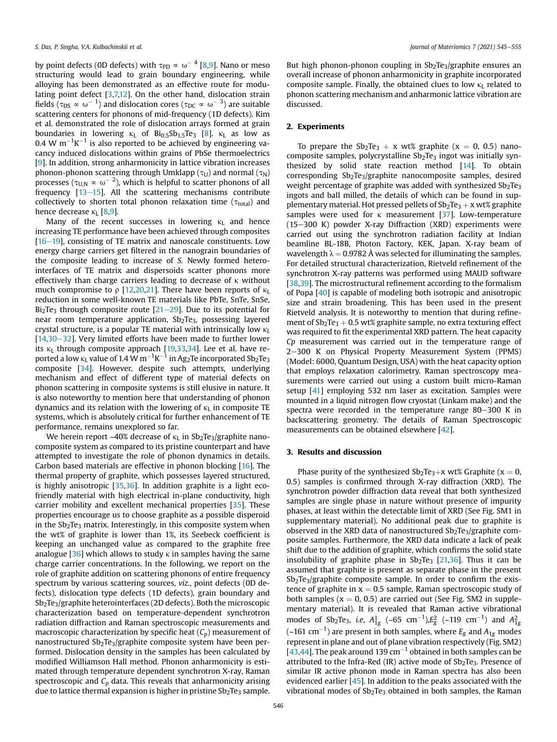by point defects (0D defects) with  $\tau_{\text{PD}} \propto \omega^{-|4|}$  [8,9]. Nano or meso structuring would lead to grain boundary engineering, while alloying has been demonstrated as an effective route for modulating point defect [3,7,12]. On the other hand, dislocation strain fields ( $\tau_{\text{DS}} \propto \omega^{-\; 1}$ ) and dislocation cores ( $\tau_{\text{DC}} \propto \omega^{-\; 3}$ ) are suitable scattering centers for phonons of mid-frequency (1D defects). Kim et al. demonstrated the role of dislocation arrays formed at grain boundaries in lowering  $\kappa_L$  of  $Bi_0.55b_1.5Te_3$  [8].  $\kappa_L$  as low as 0.4 W m $^{-1}$ K $^{-1}$  is also reported to be achieved by engineering vacancy induced dislocations within grains of PbSe thermoelectrics [9]. In addition, strong anharmonicity in lattice vibration increases phonon-phonon scattering through Umklapp ( $\tau$ <sub>U</sub>) and normal ( $\tau$ <sub>N</sub>) processes ( $\tau_\mathrm{U,N} \propto \omega^{-\; 2}$ ), which is helpful to scatter phonons of all frequency  $[13-15]$ . All the scattering mechanisms contribute collectively to shorten total phonon relaxation time ( $\tau_{\text{total}}$ ) and hence decrease  $\kappa_L$  [8,9].

Many of the recent successes in lowering  $\kappa_L$  and hence increasing TE performance have been achieved through composites  $[16-19]$ , consisting of TE matrix and nanoscale constituents. Low energy charge carriers get filtered in the nanograin boundaries of the composite leading to increase of *S.* Newly formed heterointerfaces of TE matrix and dispersoids scatter phonons more effectively than charge carriers leading to decrease of  $\kappa$  without much compromise to  $\rho$  [12,20,21]. There have been reports of  $\kappa$ <sub>L</sub> reduction in some well-known TE materials like PbTe, SnTe, SnSe, Bi<sub>2</sub>Te<sub>3</sub> through composite route  $[21–29]$ . Due to its potential for near room temperature application,  $Sb<sub>2</sub>Te<sub>3</sub>$ , possessing layered crystal structure, is a popular TE material with intrinsically low  $\kappa_L$  $[14,30-32]$ . Very limited efforts have been made to further lower its  $\kappa$ <sub>L</sub> through composite approach [19,33,34]. Lee et al. have reported a low  $\kappa_{\rm L}$  value of 1.4 W m $^{-1}$ K $^{-1}$  in Ag $_2$ Te incorporated Sb $_2$ Te $_3$ composite [34]. However, despite such attempts, underlying mechanism and effect of different type of material defects on phonon scattering in composite systems is still elusive in nature. It is also noteworthy to mention here that understanding of phonon dynamics and its relation with the lowering of  $\kappa_{\text{L}}$  in composite TE systems, which is absolutely critical for further enhancement of TE performance, remains unexplored so far.

We herein report  $~40\%$  decrease of  $\kappa$ <sub>L</sub> in Sb<sub>2</sub>Te<sub>3</sub>/graphite nanocomposite system as compared to its pristine counterpart and have attempted to investigate the role of phonon dynamics in details. Carbon based materials are effective in phonon blocking [16]. The thermal property of graphite, which possesses layered structured, is highly anisotropic [35,36]. In addition graphite is a light ecofriendly material with high electrical in-plane conductivity, high carrier mobility and excellent mechanical properties [35]. These properties encourage us to choose graphite as a possible disperoid in the  $Sb<sub>2</sub>Te<sub>3</sub>$  matrix. Interestingly, in this composite system when the wt% of graphite is lower than 1%, its Seebeck coefficient is keeping an unchanged value as compared to the graphite free analogue  $[36]$  which allows to study  $\kappa$  in samples having the same charge carrier concentrations. In the following, we report on the role of graphite addition on scattering phonons of entire frequency spectrum by various scattering sources, *viz.*, point defects (0D defects), dislocation type defects (1D defects), grain boundary and  $Sb<sub>2</sub>Te<sub>3</sub>/graphite heterointerfaces (2D defects)$ . Both the microscopic characterization based on temperature-dependent synchrotron radiation diffraction and Raman spectroscopic measurements and macroscopic characterization by specific heat (*Cp*) measurement of nanostructured Sb<sub>2</sub>Te<sub>3</sub>/graphite composite system have been performed. Dislocation density in the samples has been calculated by modified Williamson Hall method. Phonon anharmonicity is estimated through temperature dependent synchrotron X-ray, Raman spectroscopic and *C<sup>p</sup>* data. This reveals that anharmonicity arising due to lattice thermal expansion is higher in pristine  $\mathrm{Sb}_2\mathrm{Te}_3$  sample.

But high phonon-phonon coupling in Sb<sub>2</sub>Te<sub>3</sub>/graphite ensures an overall increase of phonon anharmonicity in graphite incorporated composite sample. Finally, the obtained clues to low  $\kappa_L$  related to phonon scattering mechanism and anharmonic lattice vibration are discussed.

### 2. Experiments

To prepare the  $Sb_2Te_3 + x$  wt% graphite (x = 0, 0.5) nanocomposite samples, polycrystalline  $Sb<sub>2</sub>Te<sub>3</sub>$  ingot was initially synthesized by solid state reaction method [14]. To obtain corresponding Sb2Te3/graphite nanocomposite samples, desired weight percentage of graphite was added with synthesized  $Sb<sub>2</sub>Te<sub>3</sub>$ ingots and ball milled, the details of which can be found in supplementary material. Hot pressed pellets of  $Sb_2Te_3 + x$  wt% graphite samples were used for  $\kappa$  measurement [37]. Low-temperature  $(15-300 \text{ K})$  powder X-ray Diffraction  $(XRD)$  experiments were carried out using the synchrotron radiation facility at Indian beamline BL-18B, Photon Factory, KEK, Japan. X-ray beam of wavelength  $\lambda = 0.9782$  Å was selected for illuminating the samples. For detailed structural characterization, Rietveld refinement of the synchrotron X-ray patterns was performed using MAUD software [38,39]. The microstructural refinement according to the formalism of Popa [40] is capable of modeling both isotropic and anisotropic size and strain broadening. This has been used in the present Rietveld analysis. It is noteworthy to mention that during refinement of  $Sb_2Te_3 + 0.5$  wt% graphite sample, no extra texturing effect was required to fit the experimental XRD pattern. The heat capacity *Cp* measurement was carried out in the temperature range of 2-300 K on Physical Property Measurement System (PPMS) (Model: 6000, Quantum Design, USA) with the heat capacity option that employs relaxation calorimetry. Raman spectroscopy measurements were carried out using a custom built micro-Raman setup [41] employing 532 nm laser as excitation. Samples were mounted in a liquid nitrogen flow cryostat (Linkam make) and the spectra were recorded in the temperature range  $80-300$  K in backscattering geometry. The details of Raman Spectroscopic measurements can be obtained elsewhere [42].

### 3. Results and discussion

Phase purity of the synthesized  $Sb_2Te_3+x$  wt% Graphite (x = 0, 0.5) samples is confirmed through X-ray diffraction (XRD). The synchrotron powder diffraction data reveal that both synthesized samples are single phase in nature without presence of impurity phases, at least within the detectable limit of XRD (See Fig. SM1 in supplementary material). No additional peak due to graphite is observed in the XRD data of nanostructured  $Sb_2Te_3/$ graphite composite samples. Furthermore, the XRD data indicate a lack of peak shift due to the addition of graphite, which confirms the solid state insolubility of graphite phase in  $Sb<sub>2</sub>Te<sub>3</sub>$  [21,36]. Thus it can be assumed that graphite is present as separate phase in the present  $Sb<sub>2</sub>Te<sub>3</sub>/graphite composite sample.$  In order to confirm the existence of graphite in  $x = 0.5$  sample, Raman spectroscopic study of both samples ( $x = 0$ , 0.5) are carried out (See Fig. SM2 in supplementary material). It is revealed that Raman active vibrational modes of Sb<sub>2</sub>Te<sub>3</sub>, *i.e*,  $A_{1g}^1$  (~65 cm<sup>-1</sup>), $E_g^2$  (~119 cm<sup>-1</sup>) and  $A_{1g}^2$ (~161 cm<sup>-1</sup>) are present in both samples, where  $E_g$  and  $A_{1g}$  modes represent in plane and out of plane vibration respectively (Fig. SM2) [43,44]. The peak around 139  $cm^{-1}$  obtained in both samples can be attributed to the Infra-Red (IR) active mode of  $Sb<sub>2</sub>Te<sub>3</sub>$ . Presence of similar IR active phonon mode in Raman spectra has also been evidenced earlier [45]. In addition to the peaks associated with the vibrational modes of  $Sb<sub>2</sub>Te<sub>3</sub>$  obtained in both samples, the Raman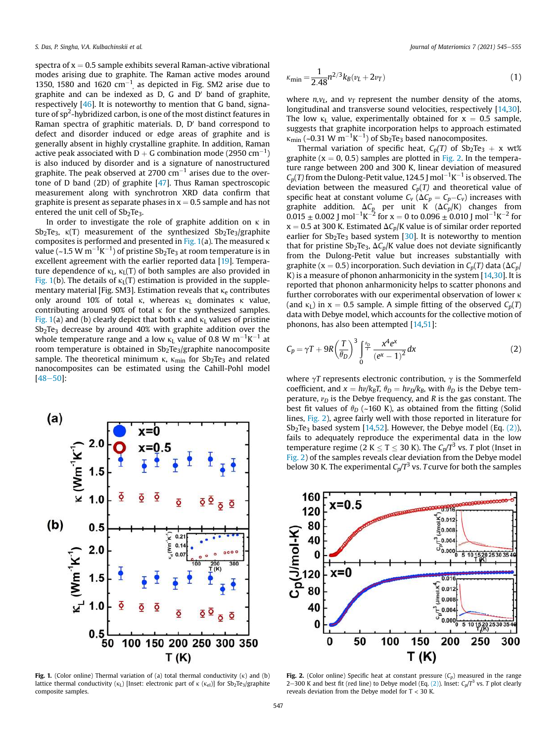spectra of  $x = 0.5$  sample exhibits several Raman-active vibrational modes arising due to graphite. The Raman active modes around 1350, 1580 and 1620  $\text{cm}^{-1}$ , as depicted in Fig. SM2 arise due to graphite and can be indexed as  $D$ , G and  $D'$  band of graphite, respectively [46]. It is noteworthy to mention that G band, signature of sp<sup>2</sup>-hybridized carbon, is one of the most distinct features in Raman spectra of graphitic materials.  $D$ ,  $D'$  band correspond to defect and disorder induced or edge areas of graphite and is generally absent in highly crystalline graphite. In addition, Raman active peak associated with D  $+$  G combination mode (2950 cm $^{-1})$ is also induced by disorder and is a signature of nanostructured graphite. The peak observed at 2700  $\rm cm^{-1}$  arises due to the overtone of D band (2D) of graphite [47]. Thus Raman spectroscopic measurement along with synchrotron XRD data confirm that graphite is present as separate phases in  $x = 0.5$  sample and has not entered the unit cell of  $Sb<sub>2</sub>Te<sub>3</sub>$ .

In order to investigate the role of graphite addition on  $\kappa$  in  $Sb<sub>2</sub>Te<sub>3</sub>$ ,  $\kappa(T)$  measurement of the synthesized  $Sb<sub>2</sub>Te<sub>3</sub>/graphite$ composites is performed and presented in Fig. 1(a). The measured  $\kappa$ value (~1.5 W m $^{-1}$ K $^{-1}$ ) of pristine Sb $_2$ Te $_3$  at room temperature is in excellent agreement with the earlier reported data [19]. Temperature dependence of  $\kappa_L$ ,  $\kappa_L(T)$  of both samples are also provided in Fig. 1(b). The details of  $\kappa_L(T)$  estimation is provided in the supplementary material [Fig. SM3]. Estimation reveals that  $\kappa_e$  contributes only around 10% of total  $\kappa$ , whereas  $\kappa$ <sub>L</sub> dominates  $\kappa$  value, contributing around 90% of total  $\kappa$  for the synthesized samples. Fig. 1(a) and (b) clearly depict that both  $\kappa$  and  $\kappa_L$  values of pristine  $Sb<sub>2</sub>Te<sub>3</sub>$  decrease by around 40% with graphite addition over the whole temperature range and a low  $\kappa_{\rm L}$  value of 0.8 W  $\rm m^{-1}K^{-1}$  at room temperature is obtained in Sb<sub>2</sub>Te<sub>3</sub>/graphite nanocomposite sample. The theoretical minimum  $\kappa$ ,  $\kappa$ <sub>min</sub> for Sb<sub>2</sub>Te<sub>3</sub> and related nanocomposites can be estimated using the Cahill-Pohl model  $[48 - 50]$ :



Fig. 1. (Color online) Thermal variation of (a) total thermal conductivity  $(\kappa)$  and (b) lattice thermal conductivity ( $\kappa_L$ ) [Inset: electronic part of  $\kappa$  ( $\kappa_{el}$ )] for Sb<sub>2</sub>Te<sub>3</sub>/graphite composite samples.

$$
\kappa_{\min} = \frac{1}{2.48} n^{2/3} k_B (v_L + 2v_T)
$$
\n(1)

where  $n, v_L$ , and  $v_T$  represent the number density of the atoms, longitudinal and transverse sound velocities, respectively [14,30]. The low  $\kappa_L$  value, experimentally obtained for  $x = 0.5$  sample, suggests that graphite incorporation helps to approach estimated  $\kappa_{\min}$  (~0.31 W m<sup>-1</sup>K<sup>-1</sup>) of Sb<sub>2</sub>Te<sub>3</sub> based nanocomposites.

Thermal variation of specific heat,  $C_p(T)$  of  $Sb_2Te_3 + x$  wt% graphite ( $x = 0, 0.5$ ) samples are plotted in Fig. 2. In the temperature range between 200 and 300 K, linear deviation of measured  $C_p(T)$  from the Dulong-Petit value, 124.5 J mol $^{-1}$ K $^{-1}$  is observed. The deviation between the measured  $C_p(T)$  and theoretical value of specific heat at constant volume  $C_v$  ( $\Delta C_p = C_p - C_v$ ) increases with graphite addition.  $\Delta C_p$  per unit K ( $\Delta C_p/K$ ) changes from  $0.015 \pm 0.002$  J mol<sup>-1</sup>K<sup>-2</sup> for x = 0 to  $0.096 \pm 0.010$  J mol<sup>-1</sup>K<sup>-2</sup> for  $x = 0.5$  at 300 K. Estimated  $\Delta C_p/K$  value is of similar order reported earlier for  $Sb_2Te_3$  based system [30]. It is noteworthy to mention that for pristine Sb<sub>2</sub>Te<sub>3</sub>,  $\Delta C_p/K$  value does not deviate significantly from the Dulong-Petit value but increases substantially with graphite (x = 0.5) incorporation. Such deviation in  $C_p(T)$  data ( $\Delta C_p$ / K) is a measure of phonon anharmonicity in the system [14,30]. It is reported that phonon anharmonicity helps to scatter phonons and further corroborates with our experimental observation of lower k (and  $\kappa_L$ ) in  $x = 0.5$  sample. A simple fitting of the observed  $C_p(T)$ data with Debye model, which accounts for the collective motion of phonons, has also been attempted [14,51]:

$$
C_p = \gamma T + 9R \left(\frac{T}{\theta_D}\right)^3 \int_0^{\frac{\theta_D}{T}} \frac{x^4 e^x}{\left(e^x - 1\right)^2} dx \tag{2}
$$

where  $\gamma T$  represents electronic contribution,  $\gamma$  is the Sommerfeld coefficient, and  $x = \frac{h\nu}{k_BT}$ ,  $\theta_D = \frac{h\nu_D}{k_B}$ , with  $\theta_D$  is the Debye temperature,  $v_D$  is the Debye frequency, and *R* is the gas constant. The best fit values of  $\theta_D$  (~160 K), as obtained from the fitting (Solid lines, Fig. 2), agree fairly well with those reported in literature for Sb<sub>2</sub>Te<sub>3</sub> based system [14,52]. However, the Debye model (Eq.  $(2)$ ), fails to adequately reproduce the experimental data in the low temperature regime (2 K  $\leq$  T  $\leq$  30 K). The  $C_p/T^3$  vs. *T* plot (Inset in Fig. 2) of the samples reveals clear deviation from the Debye model below 30 K. The experimental  $C_p/T^3$  vs. *T* curve for both the samples



**Fig. 2.** (Color online) Specific heat at constant pressure  $(C_p)$  measured in the range 2–300 K and best fit (red line) to Debye model (Eq.  $(2)$ ). Inset:  $C_p/T^3$  vs. *T* plot clearly reveals deviation from the Debye model for T < 30 K.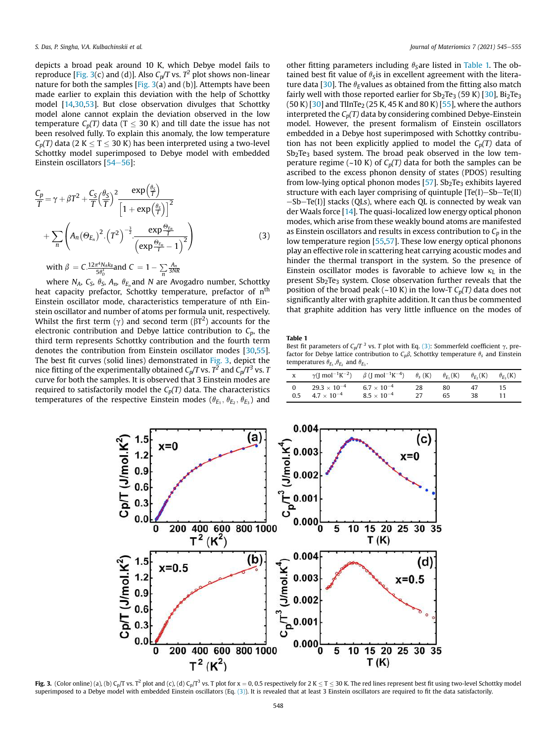depicts a broad peak around 10 K, which Debye model fails to reproduce [Fig. 3(c) and (d)]. Also *Cp/T* vs. *T 2* plot shows non-linear nature for both the samples  $[Fig. 3(a)$  and (b)]. Attempts have been made earlier to explain this deviation with the help of Schottky model [14,30,53]. But close observation divulges that Schottky model alone cannot explain the deviation observed in the low temperature  $C_p(T)$  data (T < 30 K) and till date the issue has not been resolved fully. To explain this anomaly, the low temperature  $C_p(T)$  data (2 K  $\leq$  T  $\leq$  30 K) has been interpreted using a two-level Schottky model superimposed to Debye model with embedded Einstein oscillators [54-56]:

$$
\frac{C_p}{T} = \gamma + \beta T^2 + \frac{C_S}{T} \left(\frac{\theta_S}{T}\right)^2 \frac{\exp\left(\frac{\theta_S}{T}\right)}{\left[1 + \exp\left(\frac{\theta_S}{T}\right)\right]^2} \n+ \sum_n \left( A_n (\Theta_{E_n})^2 \cdot \left(T^2\right)^{-\frac{3}{2}} \cdot \frac{\exp\frac{\Theta_{E_n}}{T}}{\left(\exp\frac{\Theta_{E_n}}{T} - 1\right)^2} \right) \n\text{with } \beta = C \cdot \frac{12\pi^4 N_A k_B}{5\theta^2} \text{ and } C = 1 - \sum_{i=3}^{\infty} \frac{A_n}{3NR}
$$
\n(3)

with  $\beta = C.\frac{12\pi^4 N_A k_B}{5\theta_D^3}$  and  $C = 1 - \sum_n$ where *N<sub>A</sub>, C<sub>S</sub>,*  $\theta$ *<sub>S</sub>, A<sub>n</sub>,*  $\theta_{E_n}$ *and <i>N* are Avogadro number, Schottky heat capacity prefactor, Schottky temperature, prefactor of  $\mathfrak{n}^{\text{th}}$ Einstein oscillator mode, characteristics temperature of nth Einstein oscillator and number of atoms per formula unit, respectively. Whilst the first term ( $\gamma$ ) and second term ( $\beta T^2$ ) accounts for the electronic contribution and Debye lattice contribution to  $C_p$ , the third term represents Schottky contribution and the fourth term denotes the contribution from Einstein oscillator modes [30,55]. The best fit curves (solid lines) demonstrated in Fig. 3, depict the nice fitting of the experimentally obtained  $\mathit{C}_{p}\!/\!T$  vs.  $T^{2}$  and  $\mathit{C}_{p}\!/\!T^{3}$  vs.  $T$ curve for both the samples. It is observed that 3 Einstein modes are required to satisfactorily model the *Cp(T)* data. The characteristics temperatures of the respective Einstein modes  $(\theta_{E_1}, \theta_{E_2}, \theta_{E_3})$  and

other fitting parameters including  $\theta_{\rm S}$ are listed in Table 1. The obtained best fit value of  $\theta$ <sub>S</sub> is in excellent agreement with the literature data [30]. The  $\theta_F$ values as obtained from the fitting also match fairly well with those reported earlier for  $Sb<sub>2</sub>Te<sub>3</sub>$  (59 K) [30], Bi<sub>2</sub>Te<sub>3</sub>  $(50 K)$  [30] and TlInTe<sub>2</sub> (25 K, 45 K and 80 K) [55], where the authors interpreted the  $C_p(T)$  data by considering combined Debye-Einstein model. However, the present formalism of Einstein oscillators embedded in a Debye host superimposed with Schottky contribution has not been explicitly applied to model the  $C_p(T)$  data of Sb<sub>2</sub>Te<sub>3</sub> based system. The broad peak observed in the low temperature regime ( $\sim$ 10 K) of  $C_p(T)$  data for both the samples can be ascribed to the excess phonon density of states (PDOS) resulting from low-lying optical phonon modes  $[57]$ . Sb<sub>2</sub>Te<sub>3</sub> exhibits layered structure with each layer comprising of quintuple  $[Te(I)-Sb-Te(II)]$  $-Sb-Te(I)$ ] stacks (QLs), where each QL is connected by weak van der Waals force [14]. The quasi-localized low energy optical phonon modes, which arise from these weakly bound atoms are manifested as Einstein oscillators and results in excess contribution to  $C_p$  in the low temperature region [55,57]. These low energy optical phonons play an effective role in scattering heat carrying acoustic modes and hinder the thermal transport in the system. So the presence of Einstein oscillator modes is favorable to achieve low  $\kappa_L$  in the present  $Sb<sub>2</sub>Te<sub>3</sub>$  system. Close observation further reveals that the position of the broad peak (~10 K) in the low-T  $C_p(T)$  data does not significantly alter with graphite addition. It can thus be commented that graphite addition has very little influence on the modes of

Table 1

Best fit parameters of  $C_p/T^3$  vs. *T* plot with Eq. (3): Sommerfeld coefficient  $\gamma$ , prefactor for Debye lattice contribution to  $C_p\beta$ , Schottky temperature  $\theta_s$  and Einstein temperatures  $\theta_{E_1}, \theta_{E_2}$  and  $\theta_{E_3}$ .

| x   |                                           | $\gamma$ (J mol <sup>-1</sup> K <sup>-2</sup> ) $\beta$ (J mol <sup>-1</sup> K <sup>-4</sup> ) |    | $\theta_{\rm s}$ (K) $\theta_{\rm F}$ , (K) | $\theta_{E_2}$ (K) | $\theta_{F_2}(K)$ |
|-----|-------------------------------------------|------------------------------------------------------------------------------------------------|----|---------------------------------------------|--------------------|-------------------|
| 0.5 | $29.3\times10^{-4}$<br>$4.7\times10^{-4}$ | $6.7 \times 10^{-4}$<br>$8.5\times10^{-4}$                                                     | 28 | 80<br>65                                    | 47                 | 15                |



**Fig. 3.** (Color online) (a), (b) C<sub>p</sub>/T vs. T<sup>2</sup> plot and (c), (d) C<sub>p</sub>/T<sup>3</sup> vs. T plot for x = 0, 0.5 respectively for 2 K  $\leq$  T  $\leq$  30 K. The red lines represent best fit using two-level Schottky model superimposed to a Debye model with embedded Einstein oscillators (Eq. (3)). It is revealed that at least 3 Einstein oscillators are required to fit the data satisfactorily.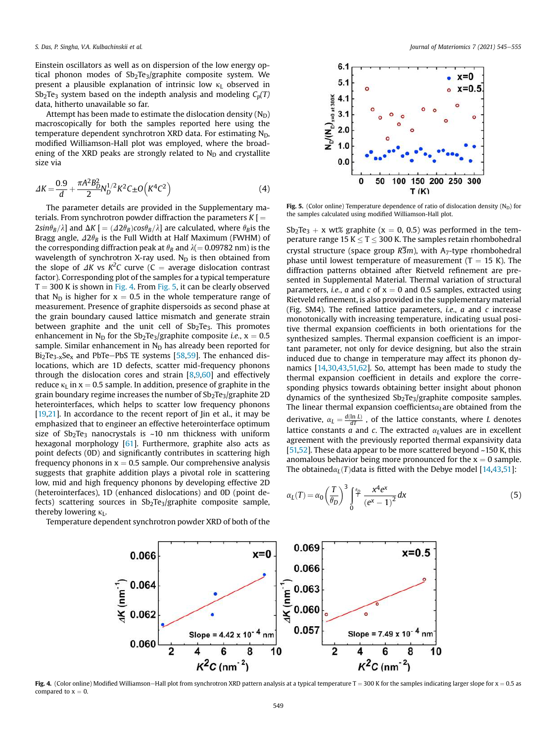Einstein oscillators as well as on dispersion of the low energy optical phonon modes of  $Sb_2Te_3/gr$ aphite composite system. We present a plausible explanation of intrinsic low  $\kappa$ <sup>L</sup> observed in Sb<sub>2</sub>Te<sub>3</sub> system based on the indepth analysis and modeling  $C_p(T)$ data, hitherto unavailable so far.

Attempt has been made to estimate the dislocation density  $(N_D)$ macroscopically for both the samples reported here using the temperature dependent synchrotron XRD data. For estimating  $N_D$ , modified Williamson-Hall plot was employed, where the broadening of the XRD peaks are strongly related to  $N_D$  and crystallite size via

$$
\Delta K = \frac{0.9}{d} + \frac{\pi A^2 B_D^2}{2} N_D^{1/2} K^2 C \pm O\left(K^4 C^2\right)
$$
 (4)

The parameter details are provided in the Supplementary materials. From synchrotron powder diffraction the parameters  $K =$  $2sin\theta_B/\lambda$  and  $\Delta K$  [ =  $(\Delta 2\theta_B)cos\theta_B/\lambda$ ] are calculated, where  $\theta_B$  is the Bragg angle,  $\Delta 2\theta_B$  is the Full Width at Half Maximum (FWHM) of the corresponding diffraction peak at  $\theta_B$  and  $\lambda(= 0.09782 \text{ nm})$  is the wavelength of synchrotron X-ray used.  $N_D$  is then obtained from the slope of  $\Delta K$  vs  $K^2C$  curve (C = average dislocation contrast factor). Corresponding plot of the samples for a typical temperature  $T = 300$  K is shown in Fig. 4. From Fig. 5, it can be clearly observed that N<sub>D</sub> is higher for  $x = 0.5$  in the whole temperature range of measurement. Presence of graphite dispersoids as second phase at the grain boundary caused lattice mismatch and generate strain between graphite and the unit cell of  $Sb<sub>2</sub>Te<sub>3</sub>$ . This promotes enhancement in N<sub>D</sub> for the Sb<sub>2</sub>Te<sub>3</sub>/graphite composite *i.e.*,  $x = 0.5$ sample. Similar enhancement in  $N_D$  has already been reported for  $Bi_2Te_{3-x}Se_x$  and PbTe-PbS TE systems [58,59]. The enhanced dislocations, which are 1D defects, scatter mid-frequency phonons through the dislocation cores and strain [8,9,60] and effectively reduce  $\kappa$ <sub>L</sub> in x = 0.5 sample. In addition, presence of graphite in the grain boundary regime increases the number of  $Sb<sub>2</sub>Te<sub>3</sub>/graphite 2D$ heterointerfaces, which helps to scatter low frequency phonons [19,21]. In accordance to the recent report of Jin et al., it may be emphasized that to engineer an effective heterointerface optimum size of  $Sb_2Te_3$  nanocrystals is ~10 nm thickness with uniform hexagonal morphology [61]. Furthermore, graphite also acts as point defects (0D) and significantly contributes in scattering high frequency phonons in  $x = 0.5$  sample. Our comprehensive analysis suggests that graphite addition plays a pivotal role in scattering low, mid and high frequency phonons by developing effective 2D (heterointerfaces), 1D (enhanced dislocations) and 0D (point defects) scattering sources in  $Sb<sub>2</sub>Te<sub>3</sub>/graphite composite sample$ , thereby lowering  $\kappa_L$ .

Temperature dependent synchrotron powder XRD of both of the



Fig. 5. (Color online) Temperature dependence of ratio of dislocation density ( $N_D$ ) for the samples calculated using modified Williamson-Hall plot.

 $Sb_2Te_3 + x$  wt% graphite (x = 0, 0.5) was performed in the temperature range 15 K  $\leq$  T  $\leq$  300 K. The samples retain rhombohedral crystal structure (space group  $R\overline{3}m$ ), with A<sub>7</sub>-type rhombohedral phase until lowest temperature of measurement  $(T = 15 K)$ . The diffraction patterns obtained after Rietveld refinement are presented in Supplemental Material. Thermal variation of structural parameters, *i.e.*,  $a$  and  $c$  of  $x = 0$  and 0.5 samples, extracted using Rietveld refinement, is also provided in the supplementary material (Fig. SM4). The refined lattice parameters, *i.e.*, *a* and *c* increase monotonically with increasing temperature, indicating usual positive thermal expansion coefficients in both orientations for the synthesized samples. Thermal expansion coefficient is an important parameter, not only for device designing, but also the strain induced due to change in temperature may affect its phonon dynamics [14,30,43,51,62]. So, attempt has been made to study the thermal expansion coefficient in details and explore the corresponding physics towards obtaining better insight about phonon dynamics of the synthesized Sb<sub>2</sub>Te<sub>3</sub>/graphite composite samples. The linear thermal expansion coefficients $\alpha_L$ are obtained from the derivative,  $\alpha_L = \frac{d(\ln L)}{dT}$ , of the lattice constants, where *L* denotes lattice constants  $a$  and  $c$ . The extracted  $\alpha$ <sub>*l*</sub> values are in excellent agreement with the previously reported thermal expansivity data [51,52]. These data appear to be more scattered beyond ~150 K, this anomalous behavior being more pronounced for the  $x = 0$  sample. The obtained $\alpha$ <sup> $L$ </sup> $(T)$ data is fitted with the Debye model [14,43,51]:

$$
\alpha_L(T) = \alpha_0 \left(\frac{T}{\theta_D}\right)^3 \int_0^{\theta_D} \frac{x^4 e^x}{(e^x - 1)^2} dx \tag{5}
$$



Fig. 4. (Color online) Modified Williamson-Hall plot from synchrotron XRD pattern analysis at a typical temperature T = 300 K for the samples indicating larger slope for  $x = 0.5$  as compared to  $x = 0$ .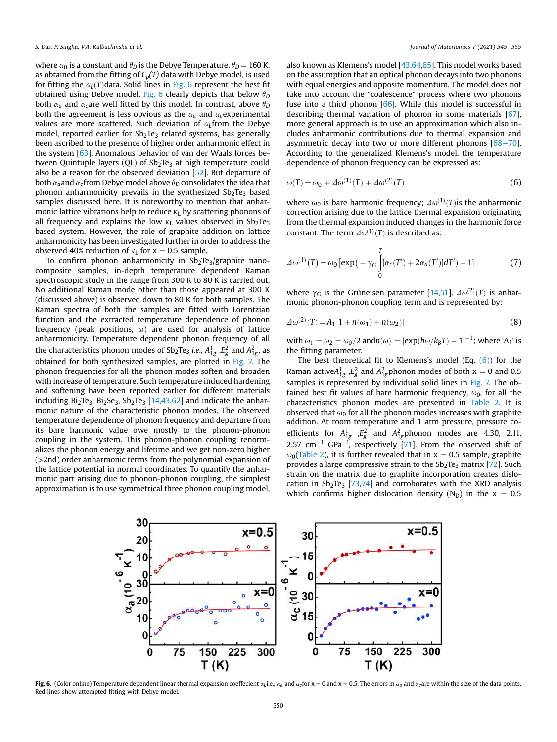where  $\alpha_0$  is a constant and  $\theta_D$  is the Debye Temperature.  $\theta_D = 160$  K, as obtained from the fitting of  $C_p(T)$  data with Debye model, is used for fitting the  $\alpha_L(T)$ data. Solid lines in Fig. 6 represent the best fit obtained using Debye model. Fig. 6 clearly depicts that below  $\theta_D$ both  $\alpha_a$  and  $\alpha_c$  are well fitted by this model. In contrast, above  $\theta_D$ both the agreement is less obvious as the  $\alpha_a$  and  $\alpha_c$  experimental values are more scattered. Such deviation of  $\alpha_L$ from the Debye model, reported earlier for  $Sb<sub>2</sub>Te<sub>3</sub>$  related systems, has generally been ascribed to the presence of higher order anharmonic effect in the system [63]. Anomalous behavior of van der Waals forces between Quintuple layers  $(QL)$  of  $Sb<sub>2</sub>Te<sub>3</sub>$  at high temperature could also be a reason for the observed deviation [52]. But departure of both  $\alpha_a$  and  $\alpha_c$  from Debye model above  $\theta_D$  consolidates the idea that phonon anharmonicity prevails in the synthesized  $Sb<sub>2</sub>Te<sub>3</sub>$  based samples discussed here. It is noteworthy to mention that anharmonic lattice vibrations help to reduce  $\kappa_L$  by scattering phonons of all frequency and explains the low  $\kappa_L$  values observed in Sb<sub>2</sub>Te<sub>3</sub> based system. However, the role of graphite addition on lattice anharmonicity has been investigated further in order to address the observed 40% reduction of  $\kappa_L$  for  $x = 0.5$  sample.

To confirm phonon anharmonicity in  $Sb_2Te_3/gr$ aphite nanocomposite samples, in-depth temperature dependent Raman spectroscopic study in the range from 300 K to 80 K is carried out. No additional Raman mode other than those appeared at 300 K (discussed above) is observed down to 80 K for both samples. The Raman spectra of both the samples are fitted with Lorentzian function and the extracted temperature dependence of phonon frequency (peak positions,  $\omega$ ) are used for analysis of lattice anharmonicity. Temperature dependent phonon frequency of all the characteristics phonon modes of Sb<sub>2</sub>Te<sub>3</sub> i.e.,  $A_{1g}^1$  , $E_g^2$  and  $A_{1g}^2$ , as obtained for both synthesized samples, are plotted in Fig. 7. The phonon frequencies for all the phonon modes soften and broaden with increase of temperature. Such temperature induced hardening and softening have been reported earlier for different materials including  $Bi<sub>2</sub>Te<sub>3</sub>$ ,  $Bi<sub>2</sub>Se<sub>3</sub>$ ,  $Sb<sub>2</sub>Te<sub>3</sub>$  [14,43,62] and indicate the anharmonic nature of the characteristic phonon modes. The observed temperature dependence of phonon frequency and departure from its bare harmonic value owe mostly to the phonon-phonon coupling in the system. This phonon-phonon coupling renormalizes the phonon energy and lifetime and we get non-zero higher (>2nd) order anharmonic terms from the polynomial expansion of the lattice potential in normal coordinates. To quantify the anharmonic part arising due to phonon-phonon coupling, the simplest approximation is to use symmetrical three phonon coupling model,

also known as Klemens's model [43,64,65]. This model works based on the assumption that an optical phonon decays into two phonons with equal energies and opposite momentum. The model does not take into account the "coalescence" process where two phonons fuse into a third phonon [66]. While this model is successful in describing thermal variation of phonon in some materials [67], more general approach is to use an approximation which also includes anharmonic contributions due to thermal expansion and asymmetric decay into two or more different phonons  $[68-70]$ . According to the generalized Klemens's model, the temperature dependence of phonon frequency can be expressed as:

$$
\omega(T) = \omega_0 + \varDelta \omega^{(1)}(T) + \varDelta \omega^{(2)}(T) \tag{6}
$$

where  $\omega_0$  is bare harmonic frequency;  $\Delta\omega^{(1)}(T)$  is the anharmonic correction arising due to the lattice thermal expansion originating from the thermal expansion induced changes in the harmonic force constant. The term  $\Delta\omega^{(1)}(T)$  is described as:

$$
\Delta\omega^{(1)}(T) = \omega_0 \left[ \exp\left(-\gamma_G \int_0^T [\alpha_C(T') + 2\alpha_a(T')] dT'\right) - 1\right]
$$
 (7)

where  $\gamma_G$  is the Grüneisen parameter [14,51].  $\Delta\omega^{(2)}(T)$  is anharmonic phonon-phonon coupling term and is represented by:

$$
\Delta \omega^{(2)}(T) = A_1 [1 + n(\omega_1) + n(\omega_2)] \tag{8}
$$

with  $\omega_1 = \omega_2 = \omega_0/2$  and $n(\omega) = [\exp(h\omega/k_BT) - 1]^{-1}$ ; where 'A<sub>1</sub>' is the fitting parameter.

The best theoretical fit to Klemens's model (Eq.  $(6)$ ) for the Raman active $A_{1g}^1$ ,  $E_g^2$  and  $A_{1g}^2$  phonon modes of both  $x = 0$  and 0.5 samples is represented by individual solid lines in Fig. 7. The obtained best fit values of bare harmonic frequency,  $\omega_0$ , for all the characteristics phonon modes are presented in Table 2. It is observed that  $\omega_0$  for all the phonon modes increases with graphite addition. At room temperature and 1 atm pressure, pressure coefficients for  $A_{1g}^1$ ,  $E_g^2$  and  $A_{1g}^2$ phonon modes are 4.30, 2.11, 2.57 cm<sup>-1</sup> GPa<sup>-1</sup>, respectively [71]. From the observed shift of  $\omega_0$ (Table 2), it is further revealed that in x = 0.5 sample, graphite provides a large compressive strain to the  $Sb<sub>2</sub>Te<sub>3</sub>$  matrix [72]. Such strain on the matrix due to graphite incorporation creates dislocation in  $Sb_2Te_3$  [73,74] and corroborates with the XRD analysis which confirms higher dislocation density (N<sub>D</sub>) in the  $x = 0.5$ 



**Fig. 6.** (Color online) Temperature dependent linear thermal expansion coeffecient  $\alpha_L$ i.e.,  $\alpha_a$  and  $\alpha_c$  for x = 0 and x = 0.5. The errors in  $\alpha_a$  and  $\alpha_c$  are within the size of the data points. Red lines show attempted fitting with Debye model.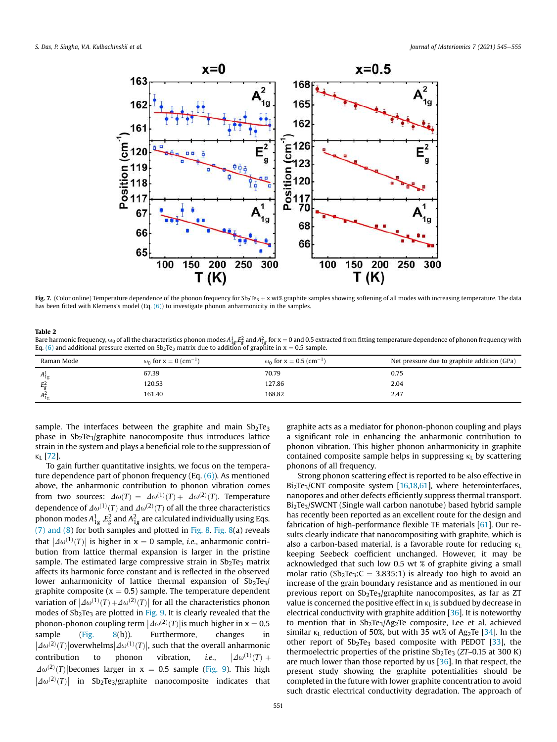

Fig. 7. (Color online) Temperature dependence of the phonon frequency for Sb<sub>2</sub>Te<sub>3</sub> + x wt% graphite samples showing softening of all modes with increasing temperature. The data has been fitted with Klemens's model (Eq. (6)) to investigate phonon anharmonicity in the samples.

#### Table 2

Bare harmonic frequency,  $\omega_0$  of all the characteristics phonon modes  $A^1_{1g}$   $E^2_g$  and  $A^2_{1g}$  for x  $=$  0 and 0.5 extracted from fitting temperature dependence of phonon frequency with Eq. (6) and additional pressure exerted on  $Sb<sub>2</sub>Te<sub>3</sub>$  matrix due to addition of graphite in x = 0.5 sample.

| Raman Mode     | ω <sub>0</sub> for x = 0 (cm <sup>-1</sup> ) | ω <sub>0</sub> for x = 0.5 (cm <sup>-1</sup> ) | Net pressure due to graphite addition (GPa) |
|----------------|----------------------------------------------|------------------------------------------------|---------------------------------------------|
| $A_{1g}^1$     | 67.39                                        | 70.79                                          | 0.75                                        |
| $E^2_{\sigma}$ | 120.53                                       | 127.86                                         | 2.04                                        |
| $A_{1g}^2$     | 161.40                                       | 168.82                                         | 2.47                                        |

sample. The interfaces between the graphite and main  $Sb<sub>2</sub>Te<sub>3</sub>$ phase in  $Sb_2Te_3$ /graphite nanocomposite thus introduces lattice strain in the system and plays a beneficial role to the suppression of  $\kappa_L$  [72].

To gain further quantitative insights, we focus on the temperature dependence part of phonon frequency (Eq. (6)). As mentioned above, the anharmonic contribution to phonon vibration comes from two sources:  $\Delta\omega(T) = \Delta\omega^{(1)}(T) + \Delta\omega^{(2)}(T)$ . Temperature dependence of  $\varDelta\omega^{(1)}(T)$  and  $\varDelta\omega^{(2)}(T)$  of all the three characteristics phonon modes  $A_{1g}^1$  , $E_{g}^2$  and  $A_{1g}^2$  are calculated individually using Eqs. (7) and (8) for both samples and plotted in Fig. 8. Fig. 8(a) reveals that  $\left| \frac{\Delta \omega^{(1)}(T)}{T} \right|$  is higher in x = 0 sample, *i.e.*, anharmonic contribution from lattice thermal expansion is larger in the pristine sample. The estimated large compressive strain in  $Sb<sub>2</sub>Te<sub>3</sub>$  matrix affects its harmonic force constant and is reflected in the observed lower anharmonicity of lattice thermal expansion of  $\text{Sb}_2\text{Te}_3$ / graphite composite ( $x = 0.5$ ) sample. The temperature dependent variation of  $\left|\mathcal{A}\omega^{(1)}(T)+\mathcal{A}\omega^{(2)}(T)\right|$  for all the characteristics phonon modes of  $Sb<sub>2</sub>Te<sub>3</sub>$  are plotted in Fig. 9. It is clearly revealed that the phonon-phonon coupling term  $\left|\mathcal{A}\omega^{(2)}(T)\right|$  is much higher in x = 0.5 sample (Fig. 8(b)). Furthermore, changes in  $\left|\mathcal{A}\omega^{(2)}(T)\right|$ overwhelms $\left|\mathcal{A}\omega^{(1)}(T)\right|$ , such that the overall anharmonic contribution to phonon vibration, *i.e.*,  $\left\vert \varDelta\omega^{(1)}(T)\right\vert +$  $\Delta\omega^{(2)}(T)$  becomes larger in x = 0.5 sample (Fig. 9). This high  $|A\omega^{(2)}(T)|$  in Sb<sub>2</sub>Te<sub>3</sub>/graphite nanocomposite indicates that

graphite acts as a mediator for phonon-phonon coupling and plays a significant role in enhancing the anharmonic contribution to phonon vibration. This higher phonon anharmonicity in graphite contained composite sample helps in suppressing  $\kappa_L$  by scattering phonons of all frequency.

Strong phonon scattering effect is reported to be also effective in Bi<sub>2</sub>Te<sub>3</sub>/CNT composite system [16,18,61], where heterointerfaces, nanopores and other defects efficiently suppress thermal transport. Bi<sub>2</sub>Te<sub>3</sub>/SWCNT (Single wall carbon nanotube) based hybrid sample has recently been reported as an excellent route for the design and fabrication of high-performance flexible TE materials [61]. Our results clearly indicate that nanocompositing with graphite, which is also a carbon-based material, is a favorable route for reducing  $\kappa_L$ keeping Seebeck coefficient unchanged. However, it may be acknowledged that such low 0.5 wt % of graphite giving a small molar ratio (Sb<sub>2</sub>Te<sub>3</sub>:C = 3.835:1) is already too high to avoid an increase of the grain boundary resistance and as mentioned in our previous report on  $Sb_2Te_3/gr$ aphite nanocomposites, as far as ZT value is concerned the positive effect in  $\kappa_L$  is subdued by decrease in electrical conductivity with graphite addition [36]. It is noteworthy to mention that in  $Sb_2Te_3/Ag_2Te$  composite, Lee et al. achieved similar  $\kappa$ <sub>L</sub> reduction of 50%, but with 35 wt% of Ag<sub>2</sub>Te [34]. In the other report of  $Sb_2Te_3$  based composite with PEDOT [33], the thermoelectric properties of the pristine Sb<sub>2</sub>Te<sub>3</sub> (*ZT*~0.15 at 300 K) are much lower than those reported by us [36]. In that respect, the present study showing the graphite potentialities should be completed in the future with lower graphite concentration to avoid such drastic electrical conductivity degradation. The approach of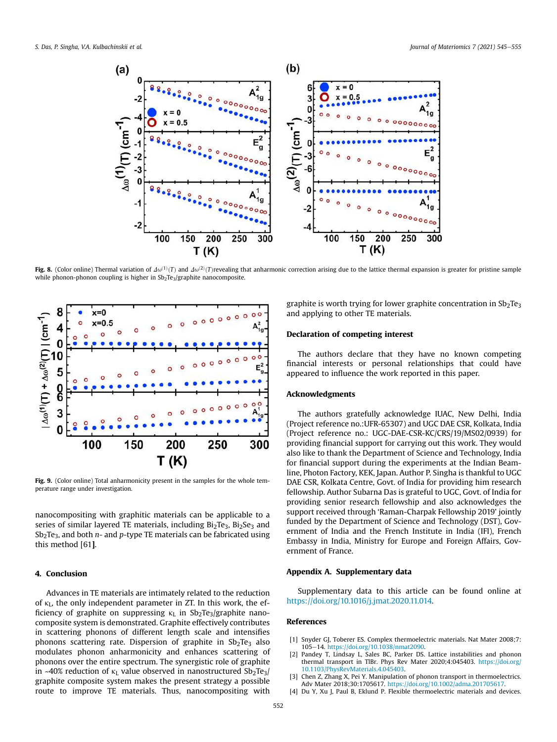

Fig. 8. (Color online) Thermal variation of  $\Delta\omega^{(1)}(T)$  and  $\Delta\omega^{(2)}(T)$ revealing that anharmonic correction arising due to the lattice thermal expansion is greater for pristine sample while phonon-phonon coupling is higher in  $Sb_2Te_3/gr$  aphite nanocomposite.



Fig. 9. (Color online) Total anharmonicity present in the samples for the whole temperature range under investigation.

nanocompositing with graphitic materials can be applicable to a series of similar layered TE materials, including  $Bi<sub>2</sub>Te<sub>3</sub>$ ,  $Bi<sub>2</sub>Se<sub>3</sub>$  and Sb<sub>2</sub>Te<sub>3</sub>, and both *n*- and *p*-type TE materials can be fabricated using this method [61].

# 4. Conclusion

Advances in TE materials are intimately related to the reduction of  $\kappa_L$ , the only independent parameter in ZT. In this work, the efficiency of graphite on suppressing  $\kappa_L$  in Sb<sub>2</sub>Te<sub>3</sub>/graphite nanocomposite system is demonstrated. Graphite effectively contributes in scattering phonons of different length scale and intensifies phonons scattering rate. Dispersion of graphite in  $Sb<sub>2</sub>Te<sub>3</sub>$  also modulates phonon anharmonicity and enhances scattering of phonons over the entire spectrum. The synergistic role of graphite in ~40% reduction of  $\kappa_L$  value observed in nanostructured Sb<sub>2</sub>Te<sub>3</sub>/ graphite composite system makes the present strategy a possible route to improve TE materials. Thus, nanocompositing with

graphite is worth trying for lower graphite concentration in  $Sb<sub>2</sub>Te<sub>3</sub>$ and applying to other TE materials.

## Declaration of competing interest

The authors declare that they have no known competing financial interests or personal relationships that could have appeared to influence the work reported in this paper.

### Acknowledgments

The authors gratefully acknowledge IUAC, New Delhi, India (Project reference no.:UFR-65307) and UGC DAE CSR, Kolkata, India (Project reference no.: UGC-DAE-CSR-KC/CRS/19/MS02/0939) for providing financial support for carrying out this work. They would also like to thank the Department of Science and Technology, India for financial support during the experiments at the Indian Beamline, Photon Factory, KEK, Japan. Author P. Singha is thankful to UGC DAE CSR, Kolkata Centre, Govt. of India for providing him research fellowship. Author Subarna Das is grateful to UGC, Govt. of India for providing senior research fellowship and also acknowledges the support received through 'Raman-Charpak Fellowship 2019' jointly funded by the Department of Science and Technology (DST), Government of India and the French Institute in India (IFI), French Embassy in India, Ministry for Europe and Foreign Affairs, Government of France.

## Appendix A. Supplementary data

Supplementary data to this article can be found online at https://doi.org/10.1016/j.jmat.2020.11.014.

#### References

- [1] Snyder GJ, Toberer ES. Complex thermoelectric materials. Nat Mater 2008;7: 105e14. https://doi.org/10.1038/nmat2090.
- Pandey T, Lindsay L, Sales BC, Parker DS. Lattice instabilities and phonon thermal transport in TlBr. Phys Rev Mater 2020;4:045403. https://doi.org/ 10.1103/PhysRevMaterials.4.045403.
- Chen Z, Zhang X, Pei Y. Manipulation of phonon transport in thermoelectrics. Adv Mater 2018;30:1705617. https://doi.org/10.1002/adma.201705617.
- [4] Du Y, Xu J, Paul B, Eklund P. Flexible thermoelectric materials and devices.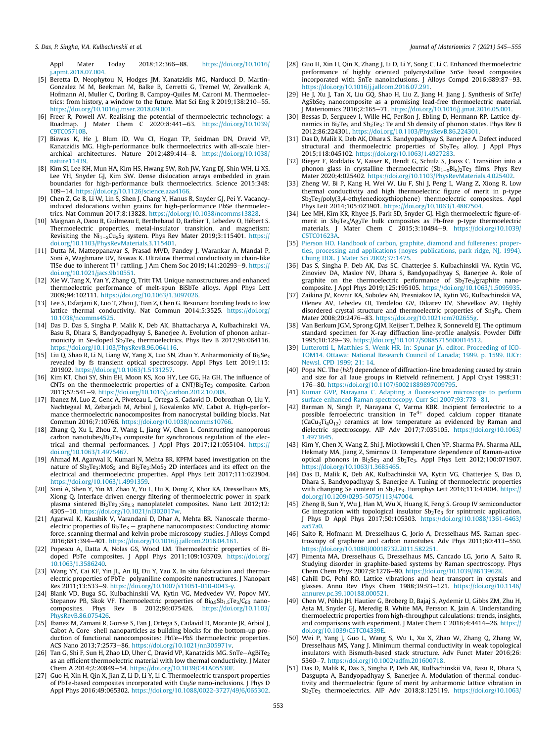Appl Mater Today 2018;12:366-88. https://doi.org/10.1016/ j.apmt.2018.07.004.

- [5] Beretta D, Neophytou N, Hodges JM, Kanatzidis MG, Narducci D, Martin-Gonzalez M M, Beekman M, Balke B, Cerretti G, Tremel W, Zevalkink A, Hofmann AI, Muller C, Dorling B, Campoy-Quiles M, Caironi M. Thermoelectrics: from history, a window to the future. Mat Sci Eng R  $2019;138:210-55$ . https://doi.org/10.1016/j.mser.2018.09.001.
- [6] Freer R, Powell AV. Realising the potential of thermoelectric technology: a Roadmap. J Mater Chem C 2020;8:441e63. https://doi.org/10.1039/ C9TC05710B.
- [7] Biswas K, He J, Blum ID, Wu CI, Hogan TP, Seidman DN, Dravid VP, Kanatzidis MG. High-performance bulk thermoelectrics with all-scale hierarchical architectures. Nature 2012;489:414-8. https://doi.org/10.1038/ nature11439.
- [8] Kim SI, Lee KH, Mun HA, Kim HS, Hwang SW, Roh JW, Yang DJ, Shin WH, Li XS, Lee YH, Snyder GJ, Kim SW. Dense dislocation arrays embedded in grain boundaries for high-performance bulk thermoelectrics. Science 2015;348: 109e14. https://doi.org/10.1126/science.aaa4166.
- [9] Chen Z, Ge B, Li W, Lin S, Shen J, Chang Y, Hanus R, Snyder GJ, Pei Y. Vacancyinduced dislocations within grains for high-performance PbSe thermoelectrics. Nat Commun 2017;8:13828. https://doi.org/10.1038/ncomms13828.
- [10] Maignan A, Daou R, Guilmeau E, Berthebaud D, Barbier T, Lebedev O, Hebert S. Thermoelectric properties, metal-insulator transition, and magnetism: Revisiting the  $Ni_{1-x}Cu_xS_2$  system. Phys Rev Mater 2019;3:115401. https:// doi.org/10.1103/PhysRevMaterials.3.115401.
- [11] Dutta M, Matteppanavar S, Prasad MVD, Pandey J, Warankar A, Mandal P, Soni A, Waghmare UV, Biswas K. Ultralow thermal conductivity in chain-like TlSe due to inherent  $TI^+$  rattling. J Am Chem Soc 2019;141:20293-9. https:// doi.org/10.1021/jacs.9b10551.
- [12] Xie W, Tang X, Yan Y, Zhang Q, Tritt TM. Unique nanostructures and enhanced thermoelectric performance of melt-spun BiSbTe alloys. Appl Phys Lett 2009;94:102111. https://doi.org/10.1063/1.3097026.
- [13] Lee S, Esfarjani K, Luo T, Zhou J, Tian Z, Chen G. Resonant bonding leads to low lattice thermal conductivity. Nat Commun 2014;5:3525. https://doi.org/ 10.1038/ncomms4525.
- [14] Das D, Das S, Singha P, Malik K, Deb AK, Bhattacharya A, Kulbachinskii VA, Basu R, Dhara S, Bandyopadhyay S, Banerjee A. Evolution of phonon anharmonicity in Se-doped Sb<sub>2</sub>Te<sub>3</sub> thermoelectrics. Phys Rev B 2017;96:064116. https://doi.org/10.1103/PhysRevB.96.064116.
- [15] Liu Q, Shao R, Li N, Liang W, Yang X, Luo SN, Zhao Y. Anharmonicity of  $Bi<sub>2</sub>Se<sub>3</sub>$ revealed by fs transient optical spectroscopy. Appl Phys Lett 2019;115: 201902. https://doi.org/10.1063/1.5131257.
- [16] Kim KT, Choi SY, Shin EH, Moon KS, Koo HY, Lee GG, Ha GH. The influence of CNTs on the thermoelectric properties of a CNT/Bi<sub>2</sub>Te<sub>3</sub> composite. Carbon 2013;52:541-9. https://doi.org/10.1016/j.carbon.2012.10.008.
- [17] Ibanez M, Luo Z, Genc A, Piveteau L, Ortega S, Cadavid D, Dobrozhan O, Liu Y, Nachtegaal M, Zebarjadi M, Arbiol J, Kovalenko MV, Cabot A. High-performance thermoelectric nanocomposites from nanocrystal building blocks. Nat Commun 2016;7:10766. https://doi.org/10.1038/ncomms10766.
- [18] Zhang Q, Xu L, Zhou Z, Wang L, Jiang W, Chen L. Constructing nanoporous carbon nanotubes/Bi<sub>2</sub>Te<sub>3</sub> composite for synchronous regulation of the electrical and thermal performances. J Appl Phys 2017;121:055104. https:// doi.org/10.1063/1.4975467.
- [19] Ahmad M, Agarwal K, Kumari N, Mehta BR. KPFM based investigation on the nature of Sb<sub>2</sub>Te<sub>3</sub>:MoS<sub>2</sub> and Bi<sub>2</sub>Te<sub>3</sub>:MoS<sub>2</sub> 2D interfaces and its effect on the electrical and thermoelectric properties. Appl Phys Lett 2017;111:023904. https://doi.org/10.1063/1.4991359.
- [20] Soni A, Shen Y, Yin M, Zhao Y, Yu L, Hu X, Dong Z, Khor KA, Dresselhaus MS, Xiong Q. Interface driven energy filtering of thermoelectric power in spark plasma sintered Bi<sub>2</sub>Te<sub>2.7</sub>Se<sub>0.3</sub> nanoplatelet composites. Nano Lett 2012;12: 4305e10. https://doi.org/10.1021/nl302017w.
- [21] Agarwal K, Kaushik V, Varandani D, Dhar A, Mehta BR. Nanoscale thermoelectric properties of  $Bi_2Te_3 -$  graphene nanocomposites: Conducting atomic force, scanning thermal and kelvin probe microscopy studies. J Alloys Compd 2016;681:394-401. https://doi.org/10.1016/j.jallcom.2016.04.161.
- [22] Popescu A, Datta A, Nolas GS, Wood LM. Thermoelectric properties of Bidoped PbTe composites. J Appl Phys 2011;109:103709. https://doi.org/ 10.1063/1.3586240.
- [23] Wang YY, Cai KF, Yin JL, An BJ, Du Y, Yao X. In situ fabrication and thermoelectric properties of PbTe-polyaniline composite nanostructures. J Nanopart Res 2011;13:533-9. https://doi.org/10.1007/s11051-010-0043-y.
- [24] Blank VD, Buga SG, Kulbachinskii VA, Kytin VG, Medvedev VV, Popov MY, Stepanov PB, Skok VF. Thermoelectric properties of  $Bi_{0.5}Sb_{1.5}Te_3/C_{60}$  nano-composites. Phys Rev B 2012;86:075426. https://doi.org/10.1103/ B 2012;86:075426. https://doi.org/10.1103/ PhysRevB.86.075426.
- [25] Ibanez M, Zamani R, Gorsse S, Fan J, Ortega S, Cadavid D, Morante JR, Arbiol J, Cabot A. Core–shell nanoparticles as building blocks for the bottom-up pro-<br>duction of functional nanocomposites: PbTe–PbS thermoelectric properties. ACS Nano 2013;7:2573-86. https://doi.org/10.1021/nn305971v.
- [26] Tan G, Shi F, Sun H, Zhao LD, Uher C, Dravid VP, Kanatzidis MG. SnTe-AgBiTe<sub>2</sub> as an efficient thermoelectric material with low thermal conductivity. J Mater Chem A 2014;2:20849-54. https://doi.org/10.1039/C4TA05530F.
- [27] Guo H, Xin H, Qin X, Jian Z, Li D, Li Y, Li C. Thermoelectric transport properties of PbTe-based composites incorporated with Cu<sub>2</sub>Se nano-inclusions. J Phys D Appl Phys 2016;49:065302. https://doi.org/10.1088/0022-3727/49/6/065302.
- [28] Guo H, Xin H, Qin X, Zhang J, Li D, Li Y, Song C, Li C. Enhanced thermoelectric performance of highly oriented polycrystalline SnSe based composites incorporated with SnTe nanoinclusions. J Alloys Compd 2016;689:87-93. https://doi.org/10.1016/j.jallcom.2016.07.291.
- [29] He J, Xu J, Tan X, Liu GQ, Shao H, Liu Z, Jiang H, Jiang J. Synthesis of SnTe/ AgSbSe<sub>2</sub> nanocomposite as a promising lead-free thermoelectric material. J Materiomics 2016;2:165e71. https://doi.org/10.1016/j.jmat.2016.05.001.
- [30] Bessas D, Sergueev I, Wille HC, Perßon J, Ebling D, Hermann RP. Lattice dynamics in Bi2Te3 and Sb2Te3: Te and Sb density of phonon states. Phys Rev B<br>2012;86:224301. https://doi.org/10.1103/PhysRevB.86.224301.
- [31] Das D, Malik K, Deb AK, Dhara S, Bandyopadhyay S, Banerjee A. Defect induced structural and thermoelectric properties of Sb<sub>2</sub>Te<sub>3</sub> alloy. J Appl Phys 2015;118:045102. https://doi.org/10.1063/1.4927283.
- [32] Rieger F, Roddatis V, Kaiser K, Bendt G, Schulz S, Jooss C. Transition into a phonon glass in crystalline thermoelectric  $(Sb_{1-x}Bi_x)_2Te_3$  films. Phys Rev Mater 2020;4:025402. https://doi.org/10.1103/PhysRevMaterials.4.025402.
- [33] Zheng W, Bi P, Kang H, Wei W, Liu F, Shi J, Peng L, Wang Z, Xiong R. Low thermal conductivity and high thermoelectric figure of merit in p-type Sb2Te3/poly(3,4-ethylenedioxythiophene) thermoelectric composites. Appl Phys Lett 2014;105:023901. https://doi.org/10.1063/1.4887504.
- [34] Lee MH, Kim KR, Rhyee JS, Park SD, Snyder GJ. High thermoelectric figure-ofmerit in Sb<sub>2</sub>Te<sub>3</sub>/Ag<sub>2</sub>Te bulk composites as Pb-free p-type thermoelectric materials. J Mater Chem C 2015;3:10494-9. https://doi.org/10.1039/ C5TC01623A.
- [35] Pierson HO. Handbook of carbon, graphite, diamond and fullerenes: properties, processing and applications (noyes publications, park ridge, NJ, 1994). Chung DDL. J Mater Sci 2002;37:1475.
- [36] Das S, Singha P, Deb AK, Das SC, Chatterjee S, Kulbachinskii VA, Kytin VG, Zinoviev DA, Maslov NV, Dhara S, Bandyopadhyay S, Banerjee A. Role of graphite on the thermoelectric performance of Sb<sub>2</sub>Te<sub>3</sub>/graphite nano-<br>composite. J Appl Phys 2019;125:195105. https://doi.org/10.1063/1.5095935.
- [37] Zaikina JV, Kovnir KA, Sobolev AN, Presniakov IA, Kytin VG, Kulbachinskii VA, Olenev AV, Lebedev OI, Tendeloo GV, Dikarev EV, Shevelkov AV. Highly disordered crystal structure and thermoelectric properties of Sn<sub>3</sub>P<sub>4</sub>. Chem Mater 2008;20:2476-83. https://doi.org/10.1021/cm702655g
- [38] Van Berkum JGM, Sprong GJM, Keijser T, Delhez R, Sonneveld EJ. The optimum standard specimen for X-ray diffraction line-profile analysis. Powder Diffr 1995;10:129-39. https://doi.org/10.1017/S0885715600014512.
- [39] Lutterotti L, Matthies S, Wenk HR. In: Spunar JA, editor. Proceeding of ICO-TOM14. Ottawa: National Research Council of Canada; 1999. p. 1599. IUCr: Newsl. CPD 1999; 21: 14.
- [40] Popa NC. The (*hkl*) dependence of diffraction-line broadening caused by strain and size for all laue groups in Rietveld refinement. J Appl Cryst 1998;31: 176-80. https://doi.org/10.1107/S0021889897009795.
- [41] Kumar GVP, Narayana C. Adapting a fluorescence microscope to perform surface enhanced Raman spectroscopy. Curr Sci 2007;93:778-81
- [42] Barman N, Singh P, Narayana C, Varma KBR. Incipient ferroelectric to a<br>possible ferroelectric transition in Te<sup>4+</sup> doped calcium copper titanate  $(CaCu<sub>3</sub>Ti<sub>4</sub>O<sub>12</sub>)$  ceramics at low temperature as evidenced by Raman and dielectric spectroscopy. AIP Adv 2017;7:035105. https://doi.org/10.1063/ 1.4973645.
- [43] Kim Y, Chen X, Wang Z, Shi J, Miotkowski I, Chen YP, Sharma PA, Sharma ALL, Hekmaty MA, Jiang Z, Smirnov D. Temperature dependence of Raman-active optical phonons in  $Bi<sub>2</sub>Se<sub>3</sub>$  and  $Sb<sub>2</sub>Te<sub>3</sub>$ . Appl Phys Lett 2012;100:071907. https://doi.org/10.1063/1.3685465.
- [44] Das D, Malik K, Deb AK, Kulbachinskii VA, Kytin VG, Chatterjee S, Das D, Dhara S, Bandyopadhyay S, Banerjee A. Tuning of thermoelectric properties with changing Se content in Sb<sub>2</sub>Te<sub>3</sub>. Europhys Lett 2016;113:47004. https:// doi.org/10.1209/0295-5075/113/47004.
- [45] Zheng B, Sun Y, Wu J, Han M, Wu X, Huang K, Feng S. Group IV semiconductor Ge integration with topological insulator  $Sb_2Te_3$  for spintronic application. J Phys D Appl Phys 2017;50:105303. https://doi.org/10.1088/1361-6463/ aa57a0.
- [46] Saito R, Hofmann M, Dresselhaus G, Jorio A, Dresselhaus MS. Raman spectroscopy of graphene and carbon nanotubes. Adv Phys 2011;60:413-550. https://doi.org/10.1080/00018732.2011.582251.
- [47] Pimenta MA, Dresselhaus G, Dresselhaus MS, Cancado LG, Jorio A, Saito R. Studying disorder in graphite-based systems by Raman spectroscopy. Phys Chem Chem Phys 2007;9:1276-90. https://doi.org/10.1039/B613962
- [48] Cahill DG, Pohl RO. Lattice vibrations and heat transport in crystals and glasses. Annu Rev Phys Chem 1988;39:93-121. https://doi.org/10.1146/ annurev.pc.39.100188.000521.
- [49] Chen W, Pöhls JH, Hautier G, Broberg D, Bajaj S, Aydemir U, Gibbs ZM, Zhu H, Asta M, Snyder GJ, Meredig B, White MA, Persson K, Jain A. Understanding thermoelectric properties from high-throughput calculations: trends, insights, and comparisons with experiment. J Mater Chem C 2016;4:4414-26. https:// doi.org/10.1039/C5TC04339E.
- [50] Wei P, Yang J, Guo L, Wang S, Wu L, Xu X, Zhao W, Zhang Q, Zhang W, Dresselhaus MS, Yang J. Minimum thermal conductivity in weak topological insulators with Bismuth-based stack structure. Adv Funct Mater 2016;26: 5360e7. https://doi.org/10.1002/adfm.201600718.
- [51] Das D, Malik K, Das S, Singha P, Deb AK, Kulbachinskii VA, Basu R, Dhara S, Dasgupta A, Bandyopadhyay S, Banerjee A. Modulation of thermal conductivity and thermoelectric figure of merit by anharmonic lattice vibration in Sb2Te<sup>3</sup> thermoelectrics. AIP Adv 2018;8:125119. https://doi.org/10.1063/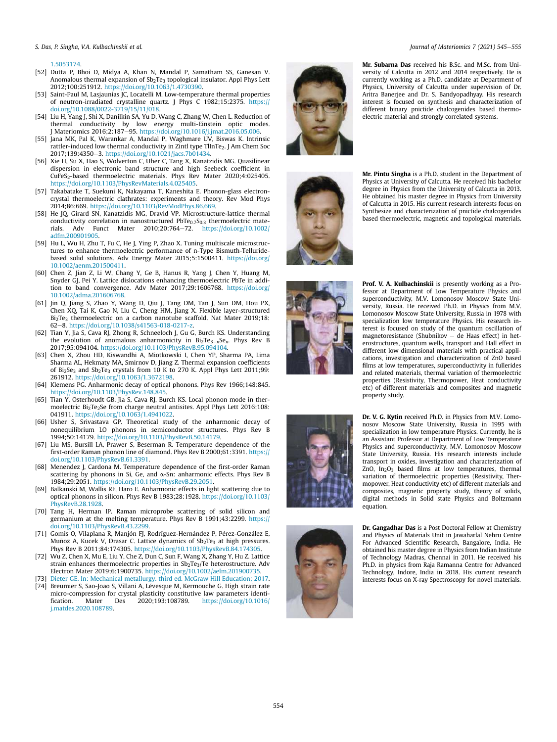*S. Das, P. Singha, V.A. Kulbachinskii et al. Journal of Materiomics 7 (2021) 545*e*555*

1.5053174.

- [52] Dutta P, Bhoi D, Midya A, Khan N, Mandal P, Samatham SS, Ganesan V. Anomalous thermal expansion of  $Sb<sub>2</sub>Te<sub>3</sub>$  topological insulator. Appl Phys Lett 2012;100:251912. https://doi.org/10.1063/1.4730390.
- [53] Saint-Paul M, Lasjaunias JC, Locatelli M, Low-temperature thermal properties of neutron-irradiated crystalline quartz. J Phys C 1982;15:2375. https:// doi.org/10.1088/0022-3719/15/11/018.
- [54] Liu H, Yang J, Shi X, Danilkin SA, Yu D, Wang C, Zhang W, Chen L. Reduction of thermal conductivity by low energy multi-Einstein optic modes.<br>J Materiomics 2016;2:187–95. https://doi.org/10.1016/j.jmat.2016.05.006.
- [55] Jana MK, Pal K, Warankar A, Mandal P, Waghmare UV, Biswas K. Intrinsic rattler-induced low thermal conductivity in Zintl type TlInTe<sub>2</sub>. J Am Chem Soc 2017:139:4350-3. https://doi.org/10.1021/jacs.7b01434.
- [56] Xie H, Su X, Hao S, Wolverton C, Uher C, Tang X, Kanatzidis MG. Quasilinear dispersion in electronic band structure and high Seebeck coefficient in CuFeS<sub>2</sub>-based thermoelectric materials. Phys Rev Mater 2020;4:025405. https://doi.org/10.1103/PhysRevMaterials.4.025405.
- [57] Takabatake T, Suekuni K, Nakayama T, Kaneshita E. Phonon-glass electroncrystal thermoelectric clathrates: experiments and theory. Rev Mod Phys 2014;86:669. https://doi.org/10.1103/RevModPhys.86.669.
- [58] He JQ, Girard SN, Kanatzidis MG, Dravid VP. Microstructure-lattice thermal conductivity correlation in nanostructured PbTe<sub>0.7</sub>S<sub>0.3</sub> thermoelectric mate-<br>rials. Adv Funct Mater 2010:20:764–72. https://doi.org/10.1002/ https://doi.org/10.1002/ adfm.200901905.
- [59] Hu L, Wu H, Zhu T, Fu C, He J, Ying P, Zhao X. Tuning multiscale microstructures to enhance thermoelectric performance of n-Type Bismuth-Telluridebased solid solutions. Adv Energy Mater 2015;5:1500411. https://doi.org/ 10.1002/aenm.201500411.
- [60] Chen Z, Jian Z, Li W, Chang Y, Ge B, Hanus R, Yang J, Chen Y, Huang M, Snyder GJ, Pei Y. Lattice dislocations enhancing thermoelectric PbTe in addition to band convergence. Adv Mater 2017;29:1606768. https://doi.org/ 10.1002/adma.201606768.
- [61] Jin Q, Jiang S, Zhao Y, Wang D, Qiu J, Tang DM, Tan J, Sun DM, Hou PX, Chen XQ, Tai K, Gao N, Liu C, Cheng HM, Jiang X. Flexible layer-structured Bi<sub>2</sub>Te<sub>3</sub> thermoelectric on a carbon nanotube scaffold. Nat Mater 2019;18: 62-8. https://doi.org/10.1038/s41563-018-0217-z
- [62] Tian Y, Jia S, Cava RJ, Zhong R, Schneeloch J, Gu G, Burch KS. Understanding the evolution of anomalous anharmonicity in  $Bi_2Te_{3-x}Se_x$ . Phys Rev B 2017;95:094104. https://doi.org/10.1103/PhysRevB.95.094104.
- [63] Chen X, Zhou HD, Kiswandhi A, Miotkowski I, Chen YP, Sharma PA, Lima Sharma AL, Hekmaty MA, Smirnov D, Jiang Z. Thermal expansion coefficients of  $Bi<sub>2</sub>Se<sub>3</sub>$  and  $Sb<sub>2</sub>Te<sub>3</sub>$  crystals from 10 K to 270 K. Appl Phys Lett 2011;99: 261912. https://doi.org/10.1063/1.3672198.
- [64] Klemens PG. Anharmonic decay of optical phonons. Phys Rev 1966;148:845. https://doi.org/10.1103/PhysRev.148.845.
- [65] Tian Y, Osterhoudt GB, Jia S, Cava RJ, Burch KS. Local phonon mode in thermoelectric Bi<sub>2</sub>Te<sub>2</sub>Se from charge neutral antisites. Appl Phys Lett 2016;108: 041911. https://doi.org/10.1063/1.4941022.
- [66] Usher S, Srivastava GP. Theoretical study of the anharmonic decay of nonequilibrium LO phonons in semiconductor structures. Phys Rev B 1994;50:14179. https://doi.org/10.1103/PhysRevB.50.14179.
- [67] Liu MS, Bursill LA, Prawer S, Beserman R. Temperature dependence of the first-order Raman phonon line of diamond. Phys Rev B 2000;61:3391. https:// doi.org/10.1103/PhysRevB.61.3391.
- [68] Menendez J, Cardona M. Temperature dependence of the first-order Raman scattering by phonons in Si, Ge, and  $\alpha$ -Sn: anharmonic effects. Phys Rev B 1984;29:2051. https://doi.org/10.1103/PhysRevB.29.2051.
- [69] Balkanski M, Wallis RF, Haro E. Anharmonic effects in light scattering due to optical phonons in silicon. Phys Rev B 1983;28:1928. https://doi.org/10.1103/ PhysRevB.28.1928.
- [70] Tang H, Herman IP. Raman microprobe scattering of solid silicon and germanium at the melting temperature. Phys Rev B 1991;43:2299. https:// doi.org/10.1103/PhysRevB.43.2299.
- [71] Gomis O, Vilaplana R, Manjón FJ, Rodríguez-Hernández P, Pérez-González E, Muñoz A, Kucek V, Drasar C. Lattice dynamics of  $Sb<sub>2</sub>Te<sub>3</sub>$  at high pressures. Phys Rev B 2011;84:174305. https://doi.org/10.1103/PhysRevB.84.174305.
- [72] Wu Z, Chen X, Mu E, Liu Y, Che Z, Dun C, Sun F, Wang X, Zhang Y, Hu Z. Lattice strain enhances thermoelectric properties in  $Sb_2Te_3$ /Te heterostructure. Adv Electron Mater 2019;6:1900735. https://doi.org/10.1002/aelm.201900735.
- [73] Dieter GE. In: Mechanical metallurgy. third ed. McGraw Hill Education; 2017.
- [74] Breumier S, Sao-Joao S, Villani A, Lévesque M, Kermouche G. High strain rate micro-compression for crystal plasticity constitutive law parameters identi-<br>fication. Mater Des 2020;193:108789. https://doi.org/10.1016/ https://doi.org/10.1016/ j.matdes.2020.108789.



Mr. Subarna Das received his B.Sc. and M.Sc. from University of Calcutta in 2012 and 2014 respectively. He is currently working as a Ph.D. candidate at Department of Physics, University of Calcutta under supervision of Dr. Aritra Banerjee and Dr. S. Bandyopadhyay. His research interest is focused on synthesis and characterization of different binary pnictide chalcogenides based thermoelectric material and strongly correlated systems.



Mr. Pintu Singha is a Ph.D. student in the Department of Physics at University of Calcutta. He received his bachelor degree in Physics from the University of Calcutta in 2013. He obtained his master degree in Physics from University of Calcutta in 2015. His current research interests focus on Synthesize and characterization of pnictide chalcogenides based thermoelectric, magnetic and topological materials.



Prof. V. A. Kulbachinskii is presently working as a Professor at Department of Low Temperature Physics and superconductivity, M.V. Lomonosov Moscow State University, Russia. He received Ph.D. in Physics from M.V. Lomonosov Moscow State University, Russia in 1978 with specialization low temperature Physics. His research interest is focused on study of the quantum oscillation of magnetoresistance (Shubnikov  $-$  de Haas effect) in heterostructures, quantum wells, transport and Hall effect in different low dimensional materials with practical applications, investigation and characterization of ZnO based films at low temperatures, superconductivity in fullerides and related materials, thermal variation of thermoelectric properties (Resistivity, Thermopower, Heat conductivity etc) of different materials and composites and magnetic property study.





Dr. V. G. Kytin received Ph.D. in Physics from M.V. Lomonosov Moscow State University, Russia in 1995 with specialization in low temperature Physics. Currently, he is an Assistant Professor at Department of Low Temperature Physics and superconductivity, M.V. Lomonosov Moscow State University, Russia. His research interests include transport in oxides, investigation and characterization of ZnO, In<sub>2</sub>O<sub>3</sub> based films at low temperatures, thermal variation of thermoelectric properties (Resistivity, Thermopower, Heat conductivity etc) of different materials and composites, magnetic property study, theory of solids, digital methods in Solid state Physics and Boltzmann equation.

Dr. Gangadhar Das is a Post Doctoral Fellow at Chemistry and Physics of Materials Unit in Jawaharlal Nehru Centre For Advanced Scientific Research, Bangalore, India. He obtained his master degree in Physics from Indian Institute of Technology Madras, Chennai in 2011. He received his Ph.D. in physics from Raja Ramanna Centre for Advanced Technology, Indore, India in 2018. His current research interests focus on X-ray Spectroscopy for novel materials.